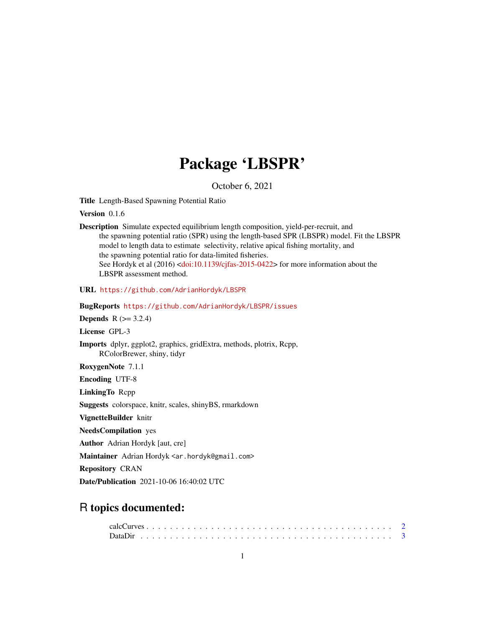# Package 'LBSPR'

October 6, 2021

Title Length-Based Spawning Potential Ratio

Version 0.1.6

Description Simulate expected equilibrium length composition, yield-per-recruit, and the spawning potential ratio (SPR) using the length-based SPR (LBSPR) model. Fit the LBSPR model to length data to estimate selectivity, relative apical fishing mortality, and the spawning potential ratio for data-limited fisheries. See Hordyk et al (2016) [<doi:10.1139/cjfas-2015-0422>](https://doi.org/10.1139/cjfas-2015-0422) for more information about the LBSPR assessment method.

URL <https://github.com/AdrianHordyk/LBSPR>

BugReports <https://github.com/AdrianHordyk/LBSPR/issues>

**Depends**  $R$  ( $> = 3.2.4$ )

License GPL-3

Imports dplyr, ggplot2, graphics, gridExtra, methods, plotrix, Rcpp, RColorBrewer, shiny, tidyr

RoxygenNote 7.1.1

Encoding UTF-8

LinkingTo Rcpp

Suggests colorspace, knitr, scales, shinyBS, rmarkdown

VignetteBuilder knitr

NeedsCompilation yes

Author Adrian Hordyk [aut, cre]

Maintainer Adrian Hordyk <ar.hordyk@gmail.com>

Repository CRAN

Date/Publication 2021-10-06 16:40:02 UTC

## R topics documented: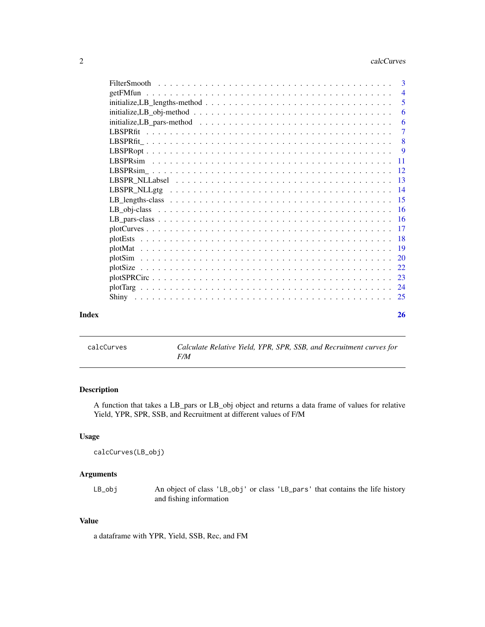<span id="page-1-0"></span>

|                                                                                                             | 3              |
|-------------------------------------------------------------------------------------------------------------|----------------|
| getFMfun                                                                                                    | $\overline{4}$ |
|                                                                                                             | 5              |
| $initialize, LB\_obj-method \dots \dots \dots \dots \dots \dots \dots \dots \dots \dots \dots \dots \dots$  | 6              |
| $initialize, LB\_pars-method \dots \dots \dots \dots \dots \dots \dots \dots \dots \dots \dots \dots \dots$ | 6              |
|                                                                                                             | $\overline{7}$ |
|                                                                                                             | 8              |
|                                                                                                             | -9             |
|                                                                                                             | -11            |
|                                                                                                             | -12            |
|                                                                                                             | -13            |
|                                                                                                             | -14            |
|                                                                                                             |                |
|                                                                                                             | -16            |
|                                                                                                             |                |
|                                                                                                             | -17            |
|                                                                                                             | -18            |
|                                                                                                             |                |
|                                                                                                             | 20             |
|                                                                                                             |                |
|                                                                                                             | 23             |
|                                                                                                             |                |
|                                                                                                             |                |
| Index                                                                                                       | 26             |

calcCurves *Calculate Relative Yield, YPR, SPR, SSB, and Recruitment curves for F/M*

### Description

A function that takes a LB\_pars or LB\_obj object and returns a data frame of values for relative Yield, YPR, SPR, SSB, and Recruitment at different values of F/M

### Usage

```
calcCurves(LB_obj)
```
### Arguments

LB\_obj An object of class 'LB\_obj' or class 'LB\_pars' that contains the life history and fishing information

### Value

a dataframe with YPR, Yield, SSB, Rec, and FM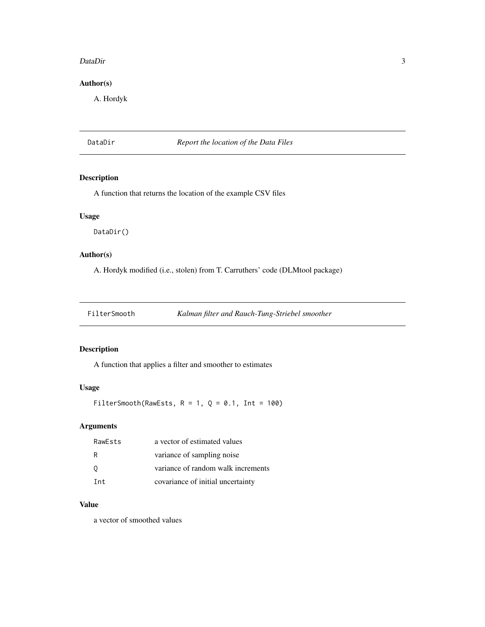### <span id="page-2-0"></span>DataDir 3

### Author(s)

A. Hordyk

DataDir *Report the location of the Data Files*

### Description

A function that returns the location of the example CSV files

### Usage

DataDir()

### Author(s)

A. Hordyk modified (i.e., stolen) from T. Carruthers' code (DLMtool package)

FilterSmooth *Kalman filter and Rauch-Tung-Striebel smoother*

### Description

A function that applies a filter and smoother to estimates

### Usage

FilterSmooth(RawEsts,  $R = 1$ ,  $Q = 0.1$ , Int = 100)

### Arguments

| RawEsts | a vector of estimated values       |
|---------|------------------------------------|
| R       | variance of sampling noise         |
| 0       | variance of random walk increments |
| Tnt.    | covariance of initial uncertainty  |

### Value

a vector of smoothed values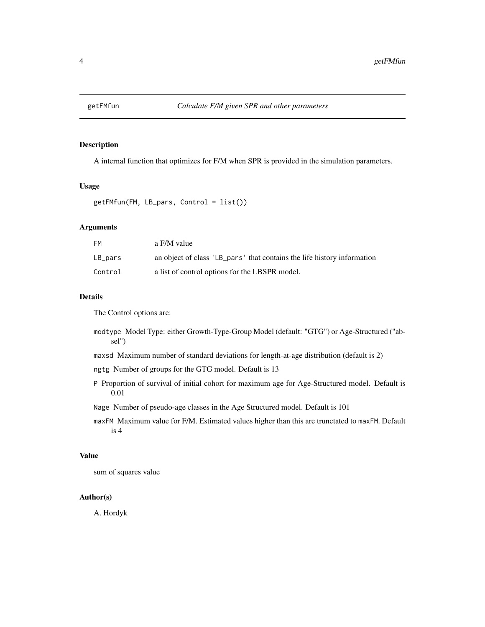<span id="page-3-0"></span>

### Description

A internal function that optimizes for F/M when SPR is provided in the simulation parameters.

### Usage

```
getFMfun(FM, LB_pars, Control = list())
```
### Arguments

| FМ      | a F/M value                                                             |
|---------|-------------------------------------------------------------------------|
| LB_pars | an object of class 'LB_pars' that contains the life history information |
| Control | a list of control options for the LBSPR model.                          |

### Details

The Control options are:

- modtype Model Type: either Growth-Type-Group Model (default: "GTG") or Age-Structured ("absel")
- maxsd Maximum number of standard deviations for length-at-age distribution (default is 2)
- ngtg Number of groups for the GTG model. Default is 13
- P Proportion of survival of initial cohort for maximum age for Age-Structured model. Default is 0.01
- Nage Number of pseudo-age classes in the Age Structured model. Default is 101
- maxFM Maximum value for F/M. Estimated values higher than this are trunctated to maxFM. Default is 4

### Value

sum of squares value

### Author(s)

A. Hordyk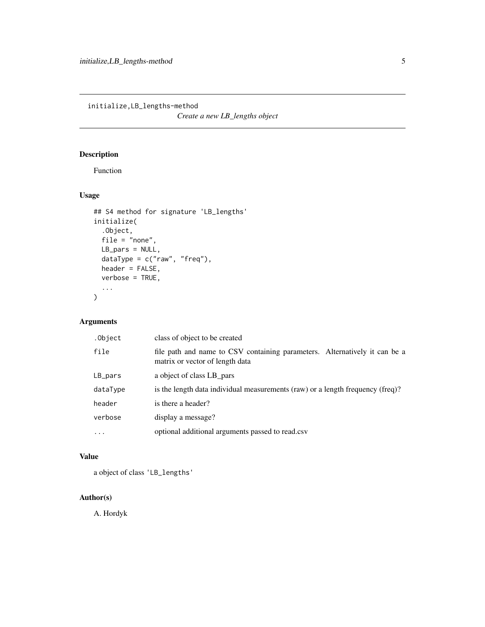<span id="page-4-0"></span>initialize,LB\_lengths-method

*Create a new LB\_lengths object*

### Description

Function

### Usage

```
## S4 method for signature 'LB_lengths'
initialize(
  .Object,
  file = "none",
  LB_pars = NULL,
  \begin{bmatrix} -2 \\ -1 \\ -1 \end{bmatrix} ataType = c("raw", "freq"),
  header = FALSE,
  verbose = TRUE,
  ...
)
```
### Arguments

| .Object  | class of object to be created                                                                                 |
|----------|---------------------------------------------------------------------------------------------------------------|
| file     | file path and name to CSV containing parameters. Alternatively it can be a<br>matrix or vector of length data |
| LB_pars  | a object of class LB pars                                                                                     |
| dataType | is the length data individual measurements (raw) or a length frequency (freq)?                                |
| header   | is there a header?                                                                                            |
| verbose  | display a message?                                                                                            |
| $\cdots$ | optional additional arguments passed to read.csv                                                              |
|          |                                                                                                               |

### Value

a object of class 'LB\_lengths'

### Author(s)

A. Hordyk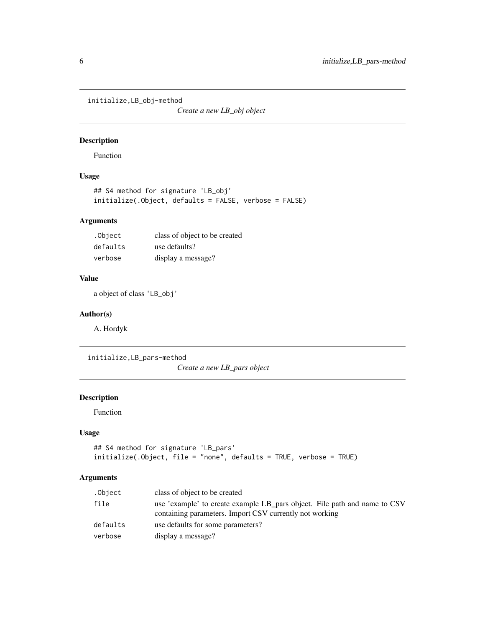<span id="page-5-0"></span>initialize,LB\_obj-method

*Create a new LB\_obj object*

### Description

Function

### Usage

```
## S4 method for signature 'LB_obj'
initialize(.Object, defaults = FALSE, verbose = FALSE)
```
### Arguments

| .Object  | class of object to be created |
|----------|-------------------------------|
| defaults | use defaults?                 |
| verbose  | display a message?            |

### Value

a object of class 'LB\_obj'

### Author(s)

A. Hordyk

initialize,LB\_pars-method

*Create a new LB\_pars object*

### Description

Function

### Usage

```
## S4 method for signature 'LB_pars'
initialize(.Object, file = "none", defaults = TRUE, verbose = TRUE)
```
### Arguments

| .Object  | class of object to be created                                                                                                        |
|----------|--------------------------------------------------------------------------------------------------------------------------------------|
| file     | use 'example' to create example LB_pars object. File path and name to CSV<br>containing parameters. Import CSV currently not working |
| defaults | use defaults for some parameters?                                                                                                    |
| verbose  | display a message?                                                                                                                   |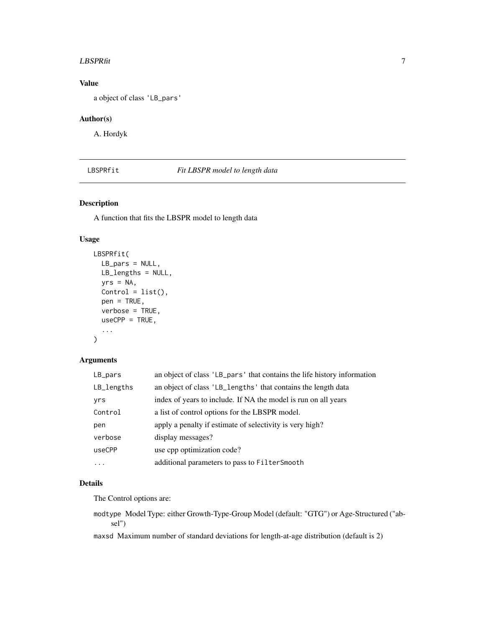### <span id="page-6-0"></span> $LBSPRfit$  7

### Value

a object of class 'LB\_pars'

### Author(s)

A. Hordyk

LBSPRfit *Fit LBSPR model to length data*

### Description

A function that fits the LBSPR model to length data

### Usage

```
LBSPRfit(
  LB_pars = NULL,
  LB_lengths = NULL,
  yrs = NA,
  Control = list(),pen = TRUE,
  verbose = TRUE,
  useCPP = TRUE,
  ...
)
```
### Arguments

| LB_pars    | an object of class 'LB_pars' that contains the life history information |
|------------|-------------------------------------------------------------------------|
| LB_lengths | an object of class 'LB_lengths' that contains the length data           |
| yrs        | index of years to include. If NA the model is run on all years          |
| Control    | a list of control options for the LBSPR model.                          |
| pen        | apply a penalty if estimate of selectivity is very high?                |
| verbose    | display messages?                                                       |
| useCPP     | use cpp optimization code?                                              |
| .          | additional parameters to pass to Filter Smooth                          |

### Details

The Control options are:

modtype Model Type: either Growth-Type-Group Model (default: "GTG") or Age-Structured ("absel")

maxsd Maximum number of standard deviations for length-at-age distribution (default is 2)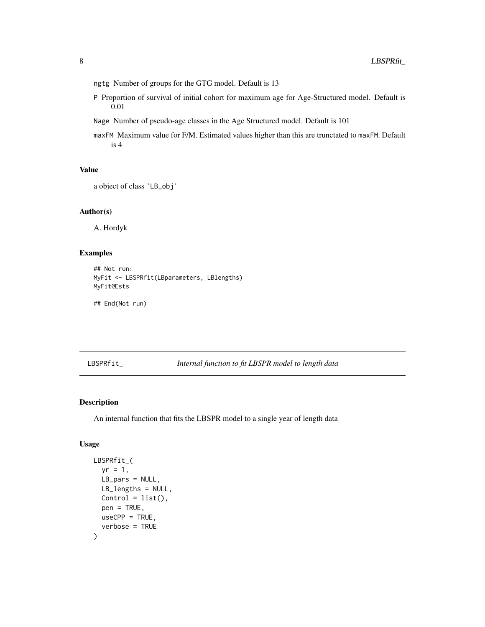- <span id="page-7-0"></span>ngtg Number of groups for the GTG model. Default is 13
- P Proportion of survival of initial cohort for maximum age for Age-Structured model. Default is 0.01
- Nage Number of pseudo-age classes in the Age Structured model. Default is 101
- maxFM Maximum value for F/M. Estimated values higher than this are trunctated to maxFM. Default is 4

### Value

```
a object of class 'LB_obj'
```
### Author(s)

A. Hordyk

### Examples

```
## Not run:
MyFit <- LBSPRfit(LBparameters, LBlengths)
MyFit@Ests
```
## End(Not run)

### LBSPRfit\_ *Internal function to fit LBSPR model to length data*

### Description

An internal function that fits the LBSPR model to a single year of length data

### Usage

```
LBSPRfit_(
 yr = 1,LB_pars = NULL,
 LB_lengths = NULL,
 Control = list(),
 pen = TRUE,
 useCPP = TRUE,verbose = TRUE
)
```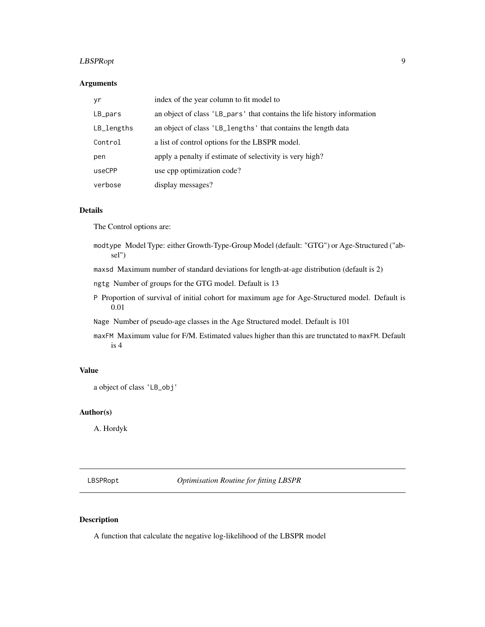### <span id="page-8-0"></span>LBSPRopt 9

### Arguments

| yr         | index of the year column to fit model to                                |
|------------|-------------------------------------------------------------------------|
| LB_pars    | an object of class 'LB_pars' that contains the life history information |
| LB_lengths | an object of class 'LB_lengths' that contains the length data           |
| Control    | a list of control options for the LBSPR model.                          |
| pen        | apply a penalty if estimate of selectivity is very high?                |
| useCPP     | use cpp optimization code?                                              |
| verbose    | display messages?                                                       |

### Details

The Control options are:

- modtype Model Type: either Growth-Type-Group Model (default: "GTG") or Age-Structured ("absel")
- maxsd Maximum number of standard deviations for length-at-age distribution (default is 2)
- ngtg Number of groups for the GTG model. Default is 13
- P Proportion of survival of initial cohort for maximum age for Age-Structured model. Default is 0.01
- Nage Number of pseudo-age classes in the Age Structured model. Default is 101
- maxFM Maximum value for F/M. Estimated values higher than this are trunctated to maxFM. Default is 4

### Value

```
a object of class 'LB_obj'
```
### Author(s)

A. Hordyk

LBSPRopt *Optimisation Routine for fitting LBSPR*

### Description

A function that calculate the negative log-likelihood of the LBSPR model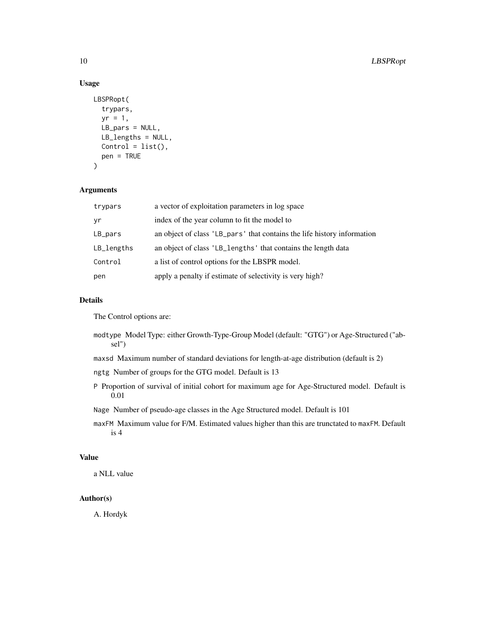### Usage

```
LBSPRopt(
  trypars,
  yr = 1,
  LB_pars = NULL,
  LB_lengths = NULL,
  Control = list(),pen = TRUE
\mathcal{L}
```
### Arguments

| trypars      | a vector of exploitation parameters in log space                        |
|--------------|-------------------------------------------------------------------------|
| yr           | index of the year column to fit the model to                            |
| LB_pars      | an object of class 'LB_pars' that contains the life history information |
| $LB$ lengths | an object of class 'LB_lengths' that contains the length data           |
| Control      | a list of control options for the LBSPR model.                          |
| pen          | apply a penalty if estimate of selectivity is very high?                |

### Details

The Control options are:

- modtype Model Type: either Growth-Type-Group Model (default: "GTG") or Age-Structured ("absel")
- maxsd Maximum number of standard deviations for length-at-age distribution (default is 2)
- ngtg Number of groups for the GTG model. Default is 13
- P Proportion of survival of initial cohort for maximum age for Age-Structured model. Default is 0.01
- Nage Number of pseudo-age classes in the Age Structured model. Default is 101
- maxFM Maximum value for F/M. Estimated values higher than this are trunctated to maxFM. Default is 4

### Value

a NLL value

### Author(s)

A. Hordyk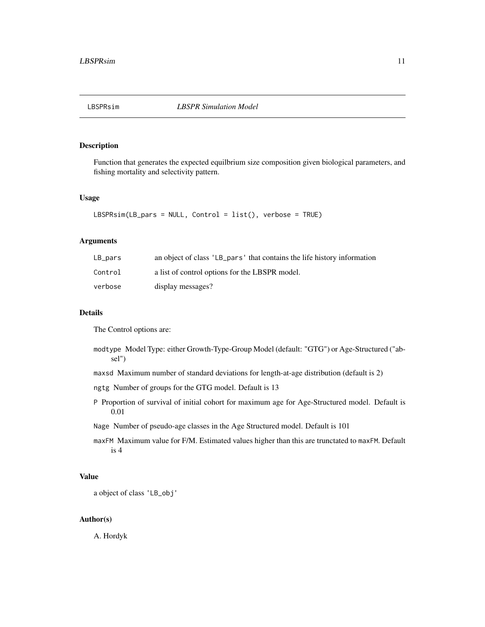<span id="page-10-0"></span>

### Description

Function that generates the expected equilbrium size composition given biological parameters, and fishing mortality and selectivity pattern.

### Usage

```
LBSPRsim(LB_pars = NULL, Control = list(), verbose = TRUE)
```
### Arguments

| $LB\_pars$ | an object of class 'LB_pars' that contains the life history information |
|------------|-------------------------------------------------------------------------|
| Control    | a list of control options for the LBSPR model.                          |
| verbose    | display messages?                                                       |

### Details

The Control options are:

- modtype Model Type: either Growth-Type-Group Model (default: "GTG") or Age-Structured ("absel")
- maxsd Maximum number of standard deviations for length-at-age distribution (default is 2)
- ngtg Number of groups for the GTG model. Default is 13
- P Proportion of survival of initial cohort for maximum age for Age-Structured model. Default is 0.01
- Nage Number of pseudo-age classes in the Age Structured model. Default is 101
- maxFM Maximum value for F/M. Estimated values higher than this are trunctated to maxFM. Default is 4

### Value

a object of class 'LB\_obj'

### Author(s)

A. Hordyk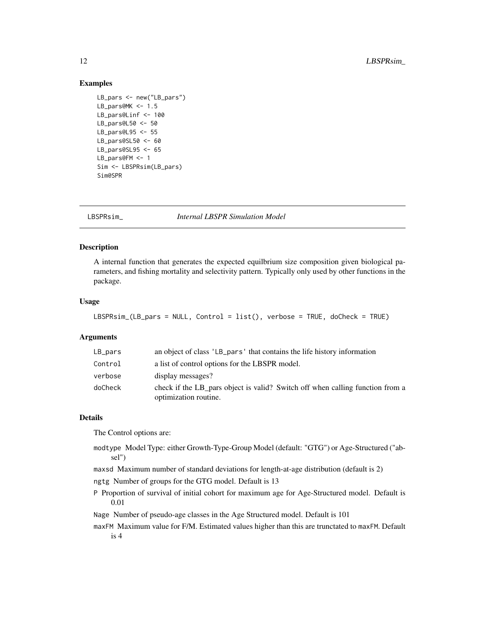### <span id="page-11-0"></span>Examples

```
LB_pars <- new("LB_pars")
LB_pars@MK <- 1.5
LB_pars@Linf <- 100
LB pars@L50 <- 50LB_pars@L95 <- 55
LB_pars@SL50 <- 60
LB_pars@SL95 <- 65
LB_pars@FM <- 1
Sim <- LBSPRsim(LB_pars)
Sim@SPR
```
LBSPRsim\_ *Internal LBSPR Simulation Model*

### Description

A internal function that generates the expected equilbrium size composition given biological parameters, and fishing mortality and selectivity pattern. Typically only used by other functions in the package.

### Usage

```
LBSPRsim_(LB_pars = NULL, Control = list(), verbose = TRUE, doCheck = TRUE)
```
### Arguments

| $LB_$ pars | an object of class 'LB_pars' that contains the life history information                                |
|------------|--------------------------------------------------------------------------------------------------------|
| Control    | a list of control options for the LBSPR model.                                                         |
| verbose    | display messages?                                                                                      |
| doCheck    | check if the LB pars object is valid? Switch off when calling function from a<br>optimization routine. |

### Details

The Control options are:

modtype Model Type: either Growth-Type-Group Model (default: "GTG") or Age-Structured ("absel")

maxsd Maximum number of standard deviations for length-at-age distribution (default is 2)

ngtg Number of groups for the GTG model. Default is 13

P Proportion of survival of initial cohort for maximum age for Age-Structured model. Default is 0.01

Nage Number of pseudo-age classes in the Age Structured model. Default is 101

maxFM Maximum value for F/M. Estimated values higher than this are trunctated to maxFM. Default is 4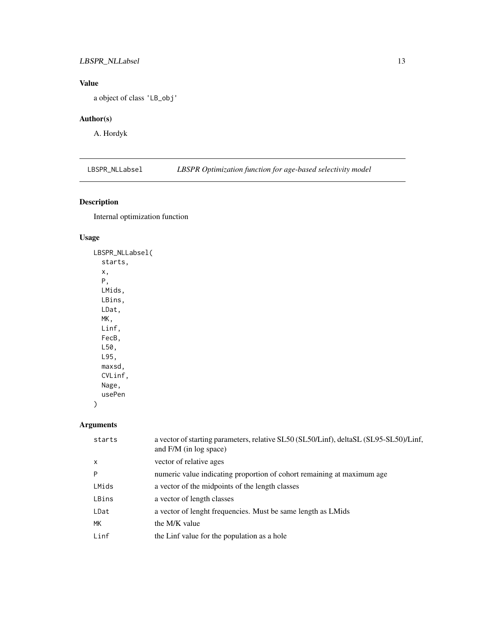### <span id="page-12-0"></span>LBSPR\_NLLabsel 13

### Value

a object of class 'LB\_obj'

### Author(s)

A. Hordyk

LBSPR\_NLLabsel *LBSPR Optimization function for age-based selectivity model*

### Description

Internal optimization function

### Usage

LBSPR\_NLLabsel( starts, x, P, LMids, LBins, LDat, MK, Linf, FecB, L50, L95, maxsd, CVLinf, Nage, usePen )

## Arguments

| starts       | a vector of starting parameters, relative SL50 (SL50/Linf), deltaSL (SL95-SL50)/Linf,<br>and F/M (in log space) |
|--------------|-----------------------------------------------------------------------------------------------------------------|
| $\mathsf{x}$ | vector of relative ages                                                                                         |
| P            | numeric value indicating proportion of cohort remaining at maximum age                                          |
| LMids        | a vector of the midpoints of the length classes                                                                 |
| LBins        | a vector of length classes                                                                                      |
| LDat         | a vector of lenght frequencies. Must be same length as LMids                                                    |
| МK           | the M/K value                                                                                                   |
| Linf         | the Linf value for the population as a hole                                                                     |
|              |                                                                                                                 |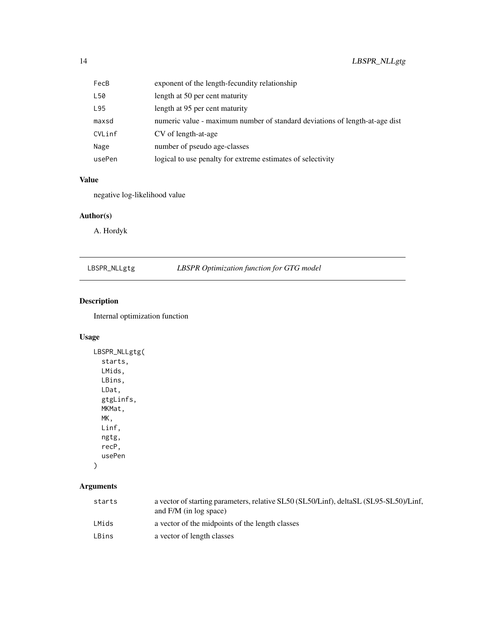<span id="page-13-0"></span>

| FecB   | exponent of the length-fecundity relationship                               |
|--------|-----------------------------------------------------------------------------|
| L50    | length at 50 per cent maturity                                              |
| L95    | length at 95 per cent maturity                                              |
| maxsd  | numeric value - maximum number of standard deviations of length-at-age dist |
| CVLinf | CV of length-at-age                                                         |
| Nage   | number of pseudo age-classes                                                |
| usePen | logical to use penalty for extreme estimates of selectivity                 |

### Value

negative log-likelihood value

### Author(s)

A. Hordyk

| LBSPR_NLLgtg |  |
|--------------|--|
|--------------|--|

## gtg *LBSPR Optimization function for GTG model*

### Description

Internal optimization function

### Usage

```
LBSPR_NLLgtg(
  starts,
  LMids,
  LBins,
  LDat,
  gtgLinfs,
  MKMat,
  MK,
  Linf,
  ngtg,
  recP,
  usePen
)
```
### Arguments

| starts | a vector of starting parameters, relative SL50 (SL50/Linf), deltaSL (SL95-SL50)/Linf,<br>and $F/M$ (in log space) |
|--------|-------------------------------------------------------------------------------------------------------------------|
| LMids  | a vector of the midpoints of the length classes                                                                   |
| LBins  | a vector of length classes                                                                                        |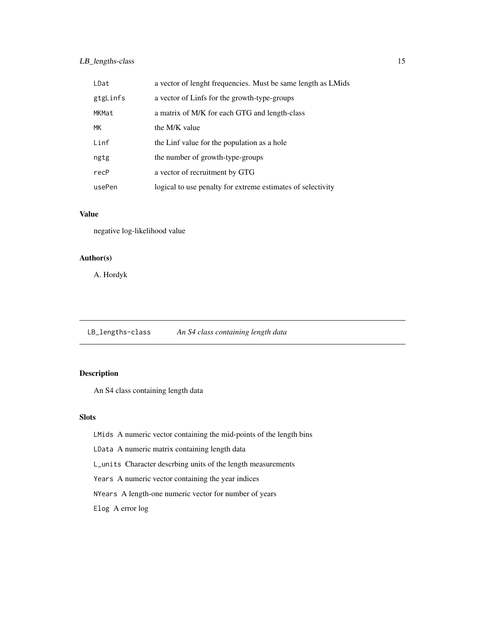### <span id="page-14-0"></span>LB\_lengths-class 15

| LDat     | a vector of lenght frequencies. Must be same length as LMids |
|----------|--------------------------------------------------------------|
| gtgLinfs | a vector of Linfs for the growth-type-groups                 |
| MKMat    | a matrix of M/K for each GTG and length-class                |
| МK       | the M/K value                                                |
| Linf     | the Linf value for the population as a hole                  |
| ngtg     | the number of growth-type-groups                             |
| recP     | a vector of recruitment by GTG                               |
| usePen   | logical to use penalty for extreme estimates of selectivity  |

### Value

negative log-likelihood value

### Author(s)

A. Hordyk

LB\_lengths-class *An S4 class containing length data*

### Description

An S4 class containing length data

### Slots

LMids A numeric vector containing the mid-points of the length bins

LData A numeric matrix containing length data

L\_units Character descrbing units of the length measurements

Years A numeric vector containing the year indices

NYears A length-one numeric vector for number of years

Elog A error log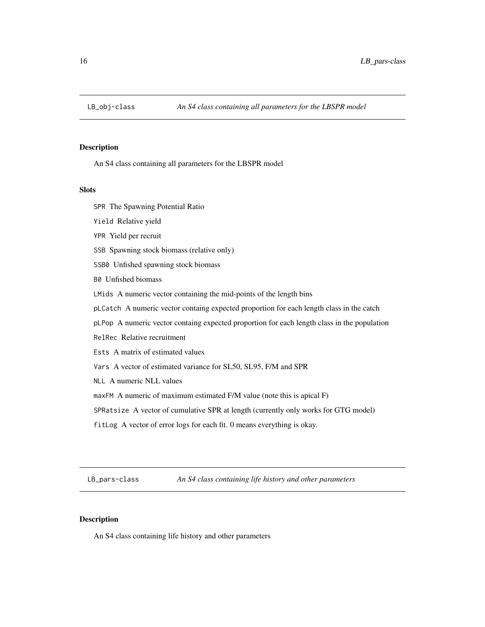<span id="page-15-0"></span>

### Description

An S4 class containing all parameters for the LBSPR model

### **Slots**

SPR The Spawning Potential Ratio

- Yield Relative yield
- YPR Yield per recruit
- SSB Spawning stock biomass (relative only)
- SSB0 Unfished spawning stock biomass
- B0 Unfished biomass
- LMids A numeric vector containing the mid-points of the length bins
- pLCatch A numeric vector containg expected proportion for each length class in the catch
- pLPop A numeric vector containg expected proportion for each length class in the population
- RelRec Relative recruitment
- Ests A matrix of estimated values
- Vars A vector of estimated variance for SL50, SL95, F/M and SPR
- NLL A numeric NLL values
- maxFM A numeric of maximum estimated F/M value (note this is apical F)
- SPRatsize A vector of cumulative SPR at length (currently only works for GTG model)
- fitLog A vector of error logs for each fit. 0 means everything is okay.

LB\_pars-class *An S4 class containing life history and other parameters*

### Description

An S4 class containing life history and other parameters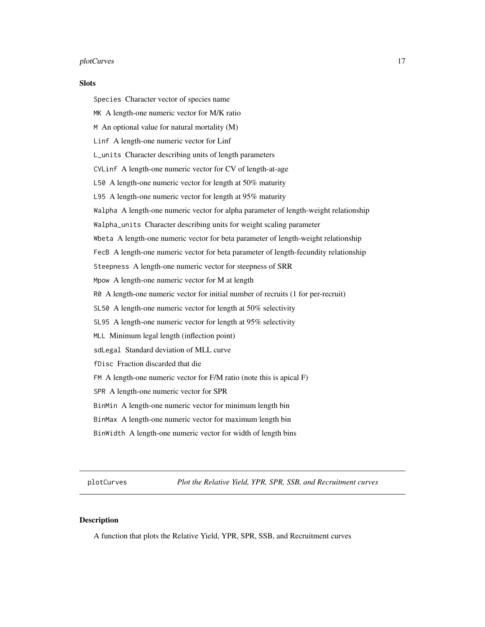### <span id="page-16-0"></span>plotCurves and the set of the set of the set of the set of the set of the set of the set of the set of the set of the set of the set of the set of the set of the set of the set of the set of the set of the set of the set o

### **Slots**

- Species Character vector of species name
- MK A length-one numeric vector for M/K ratio
- M An optional value for natural mortality (M)
- Linf A length-one numeric vector for Linf
- L\_units Character describing units of length parameters
- CVLinf A length-one numeric vector for CV of length-at-age
- L50 A length-one numeric vector for length at 50% maturity
- L95 A length-one numeric vector for length at 95% maturity
- Walpha A length-one numeric vector for alpha parameter of length-weight relationship
- Walpha\_units Character describing units for weight scaling parameter
- Wbeta A length-one numeric vector for beta parameter of length-weight relationship
- FecB A length-one numeric vector for beta parameter of length-fecundity relationship
- Steepness A length-one numeric vector for steepness of SRR
- Mpow A length-one numeric vector for M at length
- R0 A length-one numeric vector for initial number of recruits (1 for per-recruit)
- SL50 A length-one numeric vector for length at 50% selectivity
- SL95 A length-one numeric vector for length at 95% selectivity
- MLL Minimum legal length (inflection point)
- sdLegal Standard deviation of MLL curve
- fDisc Fraction discarded that die
- FM A length-one numeric vector for F/M ratio (note this is apical F)
- SPR A length-one numeric vector for SPR
- BinMin A length-one numeric vector for minimum length bin
- BinMax A length-one numeric vector for maximum length bin
- BinWidth A length-one numeric vector for width of length bins

plotCurves *Plot the Relative Yield, YPR, SPR, SSB, and Recruitment curves*

### **Description**

A function that plots the Relative Yield, YPR, SPR, SSB, and Recruitment curves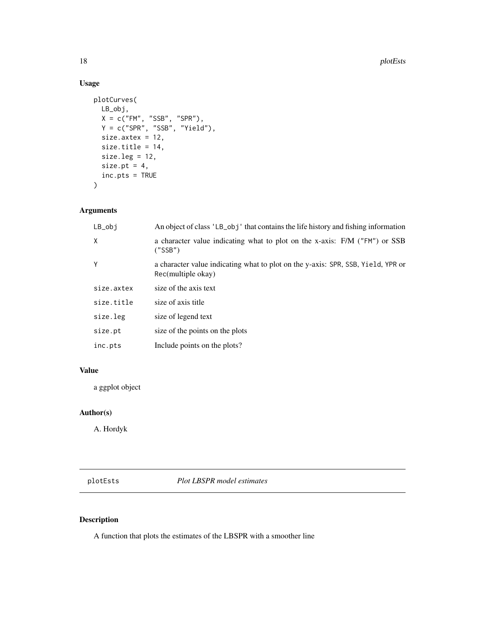### 18 plotEsts

### Usage

```
plotCurves(
 LB_obj,
 X = c("FM", "SSB", "SPR"),Y = c("SPR", "SSB", "Yield"),
  size.axtex = 12,
 size.title = 14,
 size.leg = 12,
 size.pt = 4,
 inc.pts = TRUE)
```
### Arguments

| $LB_$ obj  | An object of class 'LB_obj' that contains the life history and fishing information                     |
|------------|--------------------------------------------------------------------------------------------------------|
| X          | a character value indicating what to plot on the x-axis: F/M ("FM") or SSB<br>("SSB")                  |
| Y          | a character value indicating what to plot on the y-axis: SPR, SSB, Yield, YPR or<br>Rec(multiple okay) |
| size.axtex | size of the axis text                                                                                  |
| size.title | size of axis title                                                                                     |
| size.leg   | size of legend text                                                                                    |
| size.pt    | size of the points on the plots                                                                        |
| inc.pts    | Include points on the plots?                                                                           |

### Value

a ggplot object

### Author(s)

A. Hordyk

plotEsts *Plot LBSPR model estimates*

### Description

A function that plots the estimates of the LBSPR with a smoother line

<span id="page-17-0"></span>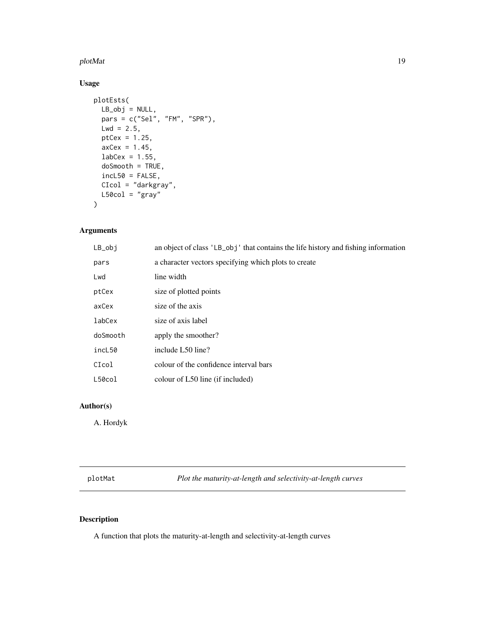### <span id="page-18-0"></span>plotMat 2008 and 2008 and 2008 and 2008 and 2008 and 2008 and 2008 and 2008 and 2008 and 2008 and 2008 and 200

### Usage

```
plotEsts(
 LB\_obj = NULL,pars = c("Sel", "FM", "SPR"),
 Lwd = 2.5,
 ptCex = 1.25,
 axCex = 1.45,
 labcex = 1.55,
 doSmooth = TRUE,
 incL50 = FALSE,
 CIcol = "darkgray",
 L50col = "gray")
```
### Arguments

| $LB_$ obj | an object of class 'LB_obj' that contains the life history and fishing information |
|-----------|------------------------------------------------------------------------------------|
| pars      | a character vectors specifying which plots to create                               |
| Lwd       | line width                                                                         |
| ptCex     | size of plotted points                                                             |
| axCex     | size of the axis                                                                   |
| labCex    | size of axis label                                                                 |
| doSmooth  | apply the smoother?                                                                |
| incL50    | include L50 line?                                                                  |
| CIcol     | colour of the confidence interval bars                                             |
| L50col    | colour of L50 line (if included)                                                   |
|           |                                                                                    |

### Author(s)

A. Hordyk

plotMat *Plot the maturity-at-length and selectivity-at-length curves*

### Description

A function that plots the maturity-at-length and selectivity-at-length curves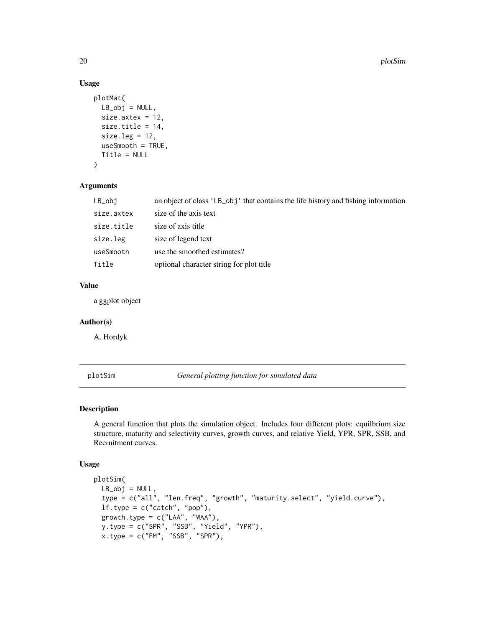### Usage

```
plotMat(
  LB\_obj = NULL,size.axtex = 12,
  size.title = 14,
  size.leg = 12,
  useSmooth = TRUE,
  Title = NULL
\mathcal{L}
```
### Arguments

| LB_obj     | an object of class 'LB_obj' that contains the life history and fishing information |
|------------|------------------------------------------------------------------------------------|
| size.axtex | size of the axis text                                                              |
| size.title | size of axis title                                                                 |
| size.leg   | size of legend text                                                                |
| useSmooth  | use the smoothed estimates?                                                        |
| Title      | optional character string for plot title                                           |
|            |                                                                                    |

### Value

a ggplot object

### Author(s)

A. Hordyk

```
plotSim General plotting function for simulated data
```
### Description

A general function that plots the simulation object. Includes four different plots: equilbrium size structure, maturity and selectivity curves, growth curves, and relative Yield, YPR, SPR, SSB, and Recruitment curves.

### Usage

```
plotSim(
 LB_0bj = NULL,
  type = c("all", "len.freq", "growth", "maturity.select", "yield.curve"),
  lf.type = c("catch", "pop"),growth.type = c("LAA", "WAA"),
 y.type = c("SPR", "SSB", "Yield", "YPR"),
 x.type = c("FM", "SSB", "SPR"),
```
<span id="page-19-0"></span>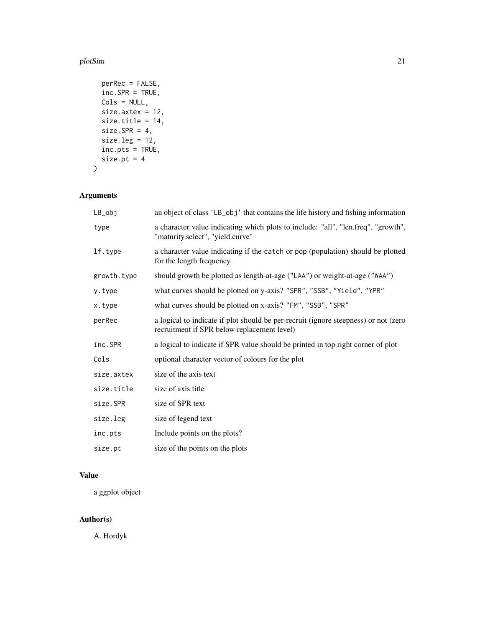### plotSim 21

```
perRec = FALSE,
 inc.SPR = TRUE,
 Cols = NULL,
 size.axtex = 12,
 size.title = 14,
 size.SPR = 4,size.leg = 12,
 inc.pts = TRUE,
 size.pt = 4\mathcal{L}
```
### Arguments

| LB_obj      | an object of class 'LB_obj' that contains the life history and fishing information                                                 |
|-------------|------------------------------------------------------------------------------------------------------------------------------------|
| type        | a character value indicating which plots to include: "all", "len.freq", "growth",<br>"maturity.select", "yield.curve"              |
| lf.type     | a character value indicating if the catch or pop (population) should be plotted<br>for the length frequency                        |
| growth.type | should growth be plotted as length-at-age ("LAA") or weight-at-age ("WAA")                                                         |
| y.type      | what curves should be plotted on y-axis? "SPR", "SSB", "Yield", "YPR"                                                              |
| x.type      | what curves should be plotted on x-axis? "FM", "SSB", "SPR"                                                                        |
| perRec      | a logical to indicate if plot should be per-recruit (ignore steepness) or not (zero<br>recruitment if SPR below replacement level) |
| inc.SPR     | a logical to indicate if SPR value should be printed in top right corner of plot                                                   |
| Cols        | optional character vector of colours for the plot                                                                                  |
| size.axtex  | size of the axis text                                                                                                              |
| size.title  | size of axis title                                                                                                                 |
| size.SPR    | size of SPR text                                                                                                                   |
| size.leg    | size of legend text                                                                                                                |
| inc.pts     | Include points on the plots?                                                                                                       |
| size.pt     | size of the points on the plots                                                                                                    |

### Value

a ggplot object

### Author(s)

A. Hordyk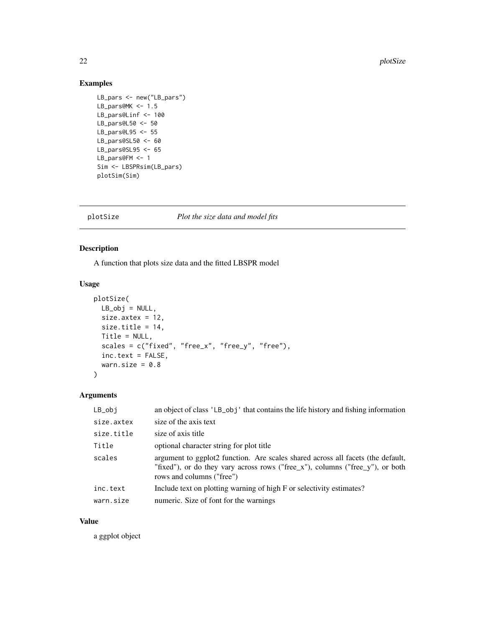### <span id="page-21-0"></span>Examples

```
LB_pars <- new("LB_pars")
LB_pars@MK <- 1.5
LB_pars@Linf <- 100
LB_pars@L50 <- 50
LB_pars@L95 <- 55
LB_pars@SL50 <- 60
LB_pars@SL95 <- 65
LB_pars@FM <- 1
Sim <- LBSPRsim(LB_pars)
plotSim(Sim)
```
### plotSize *Plot the size data and model fits*

### Description

A function that plots size data and the fitted LBSPR model

### Usage

```
plotSize(
 LB\_obj = NULL,size.axtex = 12,
 size.title = 14,
 Title = NULL,
  scales = c("fixed", "free_x", "free_y", "free"),
 inc.text = FALSE,
 warn.size = 0.8)
```
### Arguments

| $LB\_obj$  | an object of class 'LB_obj' that contains the life history and fishing information                                                                                                            |
|------------|-----------------------------------------------------------------------------------------------------------------------------------------------------------------------------------------------|
| size.axtex | size of the axis text                                                                                                                                                                         |
| size.title | size of axis title                                                                                                                                                                            |
| Title      | optional character string for plot title                                                                                                                                                      |
| scales     | argument to ggplot2 function. Are scales shared across all facets (the default,<br>"fixed"), or do they vary across rows ("free_x"), columns ("free_y"), or both<br>rows and columns ("free") |
| inc.text   | Include text on plotting warning of high F or selectivity estimates?                                                                                                                          |
| warn.size  | numeric. Size of font for the warnings                                                                                                                                                        |

### Value

a ggplot object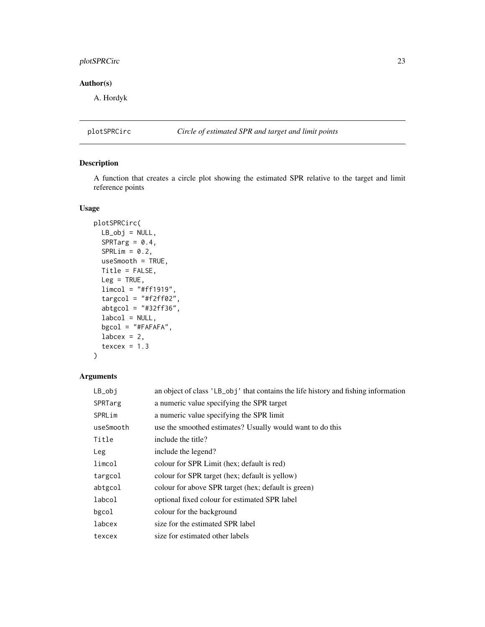### <span id="page-22-0"></span>plotSPRCirc 23

### Author(s)

A. Hordyk

### plotSPRCirc *Circle of estimated SPR and target and limit points*

### Description

A function that creates a circle plot showing the estimated SPR relative to the target and limit reference points

### Usage

```
plotSPRCirc(
 LB\_obj = NULL,SPRTarg = 0.4,
 SPRLim = 0.2,
 useSmooth = TRUE,
 Title = FALSE,
 Leg = TRUE,
 limcol = "#ff1919",
  target = "#f2ff02",abtgcol = "#32ff36",
 labcd = NULL,bgcol = "#FAFAFA",labcex = 2,
  texcex = 1.3)
```
### Arguments

| $LB_$ obj | an object of class 'LB_obj' that contains the life history and fishing information |
|-----------|------------------------------------------------------------------------------------|
| SPRTarg   | a numeric value specifying the SPR target                                          |
| SPRLim    | a numeric value specifying the SPR limit                                           |
| useSmooth | use the smoothed estimates? Usually would want to do this                          |
| Title     | include the title?                                                                 |
| Leg       | include the legend?                                                                |
| limcol    | colour for SPR Limit (hex; default is red)                                         |
| targcol   | colour for SPR target (hex; default is yellow)                                     |
| abtgcol   | colour for above SPR target (hex; default is green)                                |
| labcol    | optional fixed colour for estimated SPR label                                      |
| bgcol     | colour for the background                                                          |
| labcex    | size for the estimated SPR label                                                   |
| texcex    | size for estimated other labels                                                    |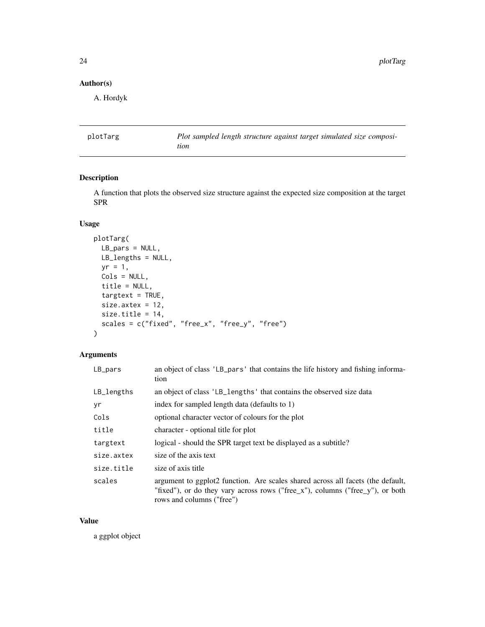### <span id="page-23-0"></span>Author(s)

A. Hordyk

plotTarg *Plot sampled length structure against target simulated size composition*

### Description

A function that plots the observed size structure against the expected size composition at the target SPR

### Usage

```
plotTarg(
  LB_pars = NULL,
  LB_lengths = NULL,
  yr = 1,Cols = NULL,title = NULL,
  targetext = TRUE,size.axtex = 12,
  size.title = 14,
  scales = c("fixed", "free_x", "free_y", "free")
\mathcal{L}
```
### Arguments

| $LB$ pars    | an object of class 'LB_pars' that contains the life history and fishing informa-<br>tion                                                                                                      |
|--------------|-----------------------------------------------------------------------------------------------------------------------------------------------------------------------------------------------|
| $LB$ lengths | an object of class 'LB_lengths' that contains the observed size data                                                                                                                          |
| yr           | index for sampled length data (defaults to 1)                                                                                                                                                 |
| Cols         | optional character vector of colours for the plot                                                                                                                                             |
| title        | character - optional title for plot                                                                                                                                                           |
| targtext     | logical - should the SPR target text be displayed as a subtitle?                                                                                                                              |
| size.axtex   | size of the axis text                                                                                                                                                                         |
| size.title   | size of axis title                                                                                                                                                                            |
| scales       | argument to ggplot2 function. Are scales shared across all facets (the default,<br>"fixed"), or do they vary across rows ("free_x"), columns ("free_y"), or both<br>rows and columns ("free") |

### Value

a ggplot object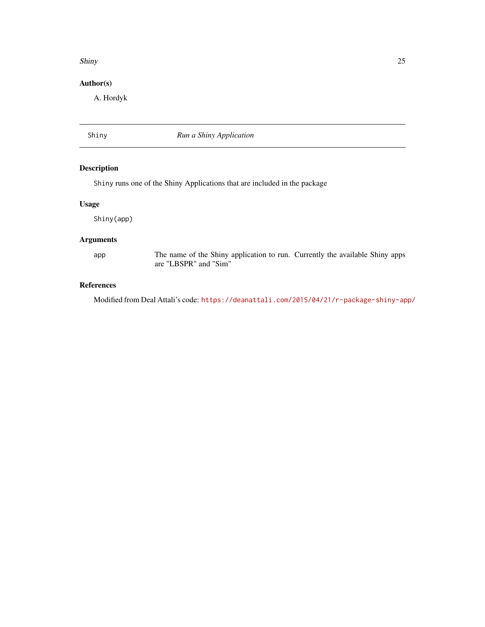### <span id="page-24-0"></span>Shiny 25

### Author(s)

A. Hordyk

Shiny *Run a Shiny Application*

### Description

Shiny runs one of the Shiny Applications that are included in the package

### Usage

Shiny(app)

### Arguments

app The name of the Shiny application to run. Currently the available Shiny apps are "LBSPR" and "Sim"

### References

Modified from Deal Attali's code: <https://deanattali.com/2015/04/21/r-package-shiny-app/>